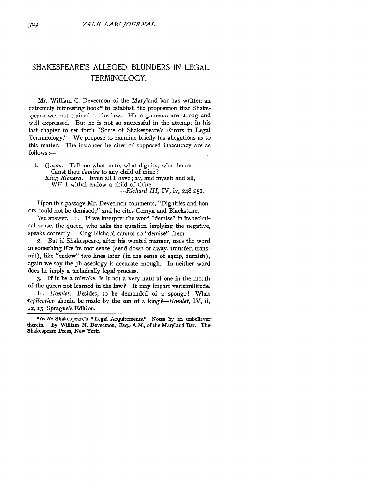## **SHAKESPEARE'S ALLEGED BLUNDERS IN LEGAL** TERMINOLOGY.

Mr. William C. Devecmon of the Maryland bar has written an extremely interesting book\* to establish the proposition that Shakespeare was not trained to the law. His arguments are strong and well expressed. But he is not so successful in the attempt in his last chapter to set forth "Some of Shakespeare's Errors in Legal Terminology." We propose to examine briefly his allegations as to this matter. The instances he cites of supposed inaccuracy are as follows:-

*I.* Queen. Tell me what state, what dignity, what honor Canst thou *demise* to any child of mine? *King Richard.* Even all I have; ay, and myself and all, Will I withal endow a child of thine. *-Richard III,* IV, iv, 248-251.

Upon this passage Mr. Devecmon comments, "Dignities and honors could not be demised ;" and he cites Comyn and Blackstone.

We answer. I. If we interpret the word "demise" in its technical sense, the queen, who asks the question implying the negative, speaks correctly. King Richard cannot so "demise" them.

**2.** But if Shakespeare, after his wonted manner, uses the word in something like its root sense (send down or away, transfer, transmit), like "endow" two lines later (in the sense of equip, furnish), again we say the phraseology is accurate enough. In neither word does he imply a technically legal process.

**3.** If it be a mistake, is it not a very natural one in the mouth of the queen not learned in the law? It may impart verisimilitude.

*I. Hamlet.* Besides, to be demanded of a sponge! What *replication* should be made **by** the son of a *king ?-Hamlet,* IV, ii, *12,* **13,** Sprague's Edition.

**\*In** *Re* Shakespeare's "Legal Acquirements." Notes by an unbelievertherein. **By** William M. Devecmon, Esq., A.M., of the Maryland Bar. The-Shakespeare Press, New York.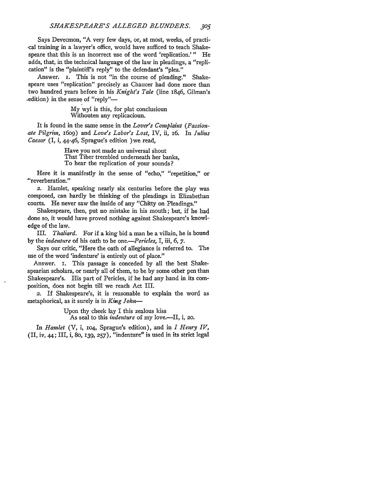Says Devecmon, "A very few days, or, at most, weeks, of practical training in a lawyer's office, would have sufficed to teach Shakespeare that this is an incorrect use of the word 'replication.'" He adds, that, in the technical language of the law in pleadings, a "replication" is the "plaintiff's reply" to the defendant's "plea."

Answer. i. This is not "in the course of pleading." Shakespeare uses "replication" precisely as Chaucer had done more than two hundred years before in his *Knight's Tale* (line 1846, Gilman's ,edition) in the sense of "reply"-

> My wyl is this, for plat conclusioun Withouten any replicacioun.

It is found in the same sense in the *Lover's Complaint (Passion-* .ate *Pilgrim,* **16o9)** and *Love's Labor's Lost,* IV, ii, 16. In *Julius* Caesar (I, i, 44-46, Sprague's edition )we read,

> Have you not made an universal shout That Tiber trembled underneath her banks, To hear the replication of your sounds?

Here it is manifestly in the sense of "echo," "repetition," or \*reverberation."

**2.** Hamlet, speaking nearly six centuries before the play was composed, can hardly be thinking of the pleadings in Elizabethan courts. He never saw the inside of any "Chitty on Pleadings."

Shakespeare, then, put no mistake in his mouth; but, if he had done so, it would have proved nothing against Shakespeare's knowledge of the law.

III. *Thaliard.* For if a king bid a man be a villain, he is bound **by** the *indenture* of his oath to be *one.-Pericles,* I, iii, 6, **7.**

Says our critic, "Here the oath of allegiance is referred to. The use of the word 'indenture' is entirely out of place."

Answer. **i.** This passage is conceded **by** all the best Shakespearian scholars, or nearly all of them, to be **by** some otheir pen than Shakespeare's. His part of Pericles, if he had any hand in its composition, does not begin till we reach Act III.

2. If Shakespeare's, it is reasonable to explain the word as metaphorical, as it surely is in *King John-*

> Upon thy cheek lay I this zealous kiss As seal to this *indenture* of my love.-II, i, **20.**

In *Hamlet* (V, i, 104, Sprague's edition), and in *I Henry IV*, (II, iv, 44; III, i, **8o,** 139, **257),** "indenture" is used in its strict legal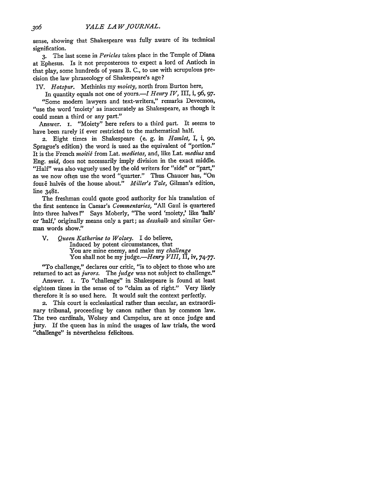sense, showing that Shakespeare was fully aware of its technical signification.

**3.** The last scene in *Pericles* takes place in the Temple of Diana at Ephesus. Is it not preposterous to expect a lord of Antioch in that play, some hundreds of years B. **C.,** to use with scrupulous precision the law phraseology of Shakespeare's age?

IV. *Hotspur.* Methinks my *moiety,* north from Burton here,

In quantity equals not one of yours.—*I Henry IV*, III, i, 96, 97. "Some modem lawyers and text-writers," remarks Devecmon,

"use the word 'moiety' as inaccurately as Shakespeare, as though it could mean a third or any part."

Answer. **i.** "Moiety" here refers to a third part. It seems to have been rarely if ever restricted to the mathematical half.

**2.** Eight times in Shakespeare (e. **g.** in *Hamlet,* I, i, *9<sup>o</sup> ,* Sprague's edition) the word is used as the equivalent of "portion." It is the French *moitig* from Lat. *medietas,* and, like Lat. *medius* and Eng. *mid,* does not necessarily imply division in the exact middle. "Half" was also vaguely used **by** the old writers for "side" or "part," as we now often use the word "quarter." Thus Chaucer has, "On fouie halves of the house about." Miller's Tale, Gilman's edition, line 3481.

The freshman could quote good authority for his translation of the first sentence in Caesar's *Commentaries,* "All Gaul is quartered into three halves **!"** Says Moberly, "The word 'moiety,' like 'halb' or 'half,' originally means only a part; as *desshalb* and similar German words show."

V. *Queen Katherine to Wolsey.* I do believe, Induced **by** potent circumstances, that You are mine enemy, and make my *challenge* You shall not be my judge.—*Henry VIII*, II, iv, 74-77.

"To challenge," declares our critic, "is to object to those who are returned to act as *jurors.* The *judge* was not subject to challenge."

Answer. i. To "challenge" in Shakespeare is found at least eighteen times in the sense of to "claim as of right." Very likely therefore it is so used here. It would suit the context perfectly.

**2.** This court is ecclesiastical rather than secular, an extraordinary tribunal, proceeding **by** canon rather than **by** common law. The two cardinals, Wolsey and Campeius, are at once judge and jury. If the queen has in mind the usages of law trials, the word "challenge" is nevertheless felicitous.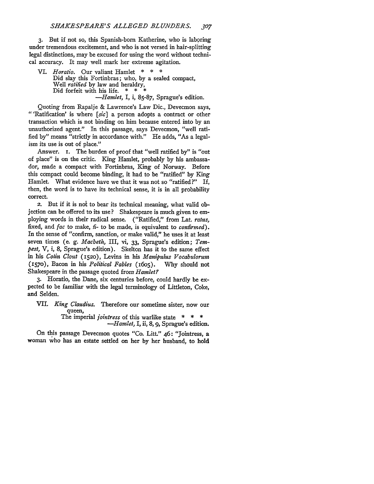3. But if not so, this Spanish-born Katherine, who is laboring under tremendous excitement, and who is not versed in hair-splitting legal distinctions, may be excused for using the word without technical accuracy. It may well mark her extreme agitation.

VI. *Horatio.* Our valiant Hamlet **\* \* \*** Did slay this Fortinbras; who, by a sealed compact, Well *ratified* **by** law and heraldry, Did forfeit with his life. **\* \* \*** *-Hamlet,* I, i, 85-87, Sprague's edition.

Quoting from Rapalje & Lawrence's Law Dic., Devecmon says, "'Ratification' is where  $[sic]$  a person adopts a contract or other transaction which is not binding on him because entered into by an unauthorized agent." In this passage, says Devecmon, "well ratified by" means "strictly in accordance with." He adds, "As a legalism its use is out of place."

Answer. i. The burden of proof that "well ratified by" is "out of place" is on the critic. King Hamlet, probably by his ambassador, made a compact with Fortinbras, King of Norway. Before this compact could become binding, it had to be "ratified" by King Hamlet. What evidence have we that it was not so "ratified?" If, then, the word is to have its technical sense, it is in all probability correct.

2. But if it is not to bear its technical meaning, what valid objection can be offered to its use? Shakespeare is much given to employing words in their radical sense. ("Ratified," from Lat. ratus, fixed, and *fac* to make, **fi-** to be made, is equivalent to *confirmed).* In the sense of "confirm, sanction, or make valid," he uses it at least seven times (e. **g.** *Macbeth,* III, vi, 33, Sprague's edition; *Tempest,* V, i, 8, Sprague's edition). Skelton has it to the same effect in his *Colin Clout* (1520), Levins in his *Manipulus Vocabulorum* (1570), Bacon in his *Political Fables* (1605). Why should not Shakespeare in the passage quoted from *Hamlet.*

3. Horatio, the Dane, six centuries before, could hardly be expected to be familiar with the legal terminology of Littleton, Coke, and Selden.

VII. *King Claudius.* Therefore our sometime sister, now our queen,

The imperial *jointress* of this warlike state *\* \* \* -Hamlet,* I, ii, 8, 9, Sprague's edition.

On this passage Devecmon quotes "Co. Litt." 46: "Jointress, a woman who has an estate settled on her by her husband, to hold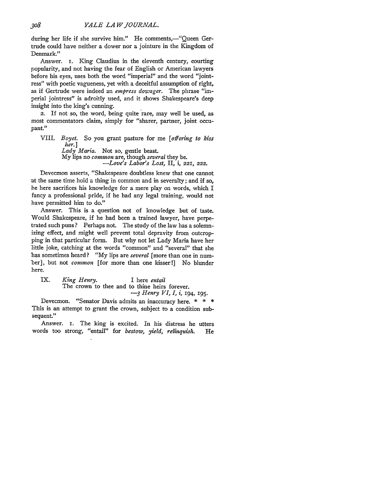during her life if she survive him." He comments,—"Oueen Gertrude could have neither a dower nor a jointure in the Kingdom of Denmark."

Answer. i. King Claudius in the eleventh century, courting popularity, and not having the fear of English or American lawyers before his eyes, uses both the word "imperial" and the word "jointress" with poetic vagueness, yet with a deceitful assumption of right, as if Gertrude were indeed an *empress dowager.* The phrase "imperial jointress" is adroitly used, and it shows Shakespeare's deep insight into the king's cunning.

2. If not so, the word, being quite rare, may well be used, as most commentators claim, simply for "sharer, partner, joint occupant."

VIII. *Boyet.* So you grant pasture for me *[offering to kiss her.] Lady Maria.* Not so, gentle beast. My lips no *common* are, though *several* they be. *-Love's Labor's Lost,* II, i, 221, 222.

Devecmon asserts, "Shakespeare doubtless knew that one cannot -at the same time hold a thing in common and in severalty; and if so, he here sacrifices his knowledge for a mere play on words, which I fancy a professional pride, if he had any legal training, would not have permitted him to do."

Answer. This is a question not of knowledge but of taste. Would Shakespeare, if he had been a trained lawyer, have perpetrated such puns? Perhaps not. The study of the law has a solemnizing effect, and might well prevent total depravity from outcropping in that particular form. But why not let Lady Maria have her little joke, catching at the words "common" and "several" that she has sometimes heard? **"My** lips are *several* [more than one in number], but not *common* [for more than one kisser!] No blunder here.

IX. *King Henry.* I here *entail* The crown to thee and to thine heirs forever. *-3 Henry VI, I, i,* 194, 195.

Devecmon. "Senator Davis admits an inaccuracy here. **\* \* \*** This is an attempt to grant the crown, subject to a condition subsequent."

Answer. **i.** The king is excited. In his distress he utters words too strong, "entail" for *bestow, yield, relinquish.* He

*38*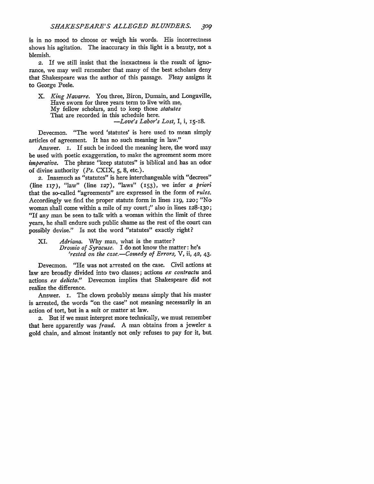is in no mood to choose or weigh his words. His incorrectness shows his agitation. The inaccuracy in this light is a beauty, not a blemish.

2. If we still insist that the inexactness is the result of ignorance, we may well remember that many of the best scholars deny that Shakespeare was the author of this passage. Fleay assigns it to George Peele.

*X. King Navarre.* You three, Biron, Dumain, and Longaville, Have sworn for three years term **to** live with me, My fellow scholars, and to keep those *statutes* That are recorded in this schedule here. *-Love's Labor's Lost,* I, i, **15-18.**

Devecmon. "The word 'statutes' is here used to mean simply articles of agreement. It has no such meaning in law."

Answer. i. If such be indeed the meaning here, the word may be used with poetic exaggeration, to make the agreement seem more *imperative.* The phrase "keep statutes" is biblical and has an odor of divine authority *(Ps.* CXIX, 5, 8, etc.).

2. Inasmuch as "statutes" is here interchangeable with "decrees" (line **II7),** "law" (line L27), "laws" (153), we infer a *priori* that the so-called "agreements" are expressed in the form of *rules.* Accordingly we find the proper statute form in lines **119, 12o; "No** woman shall come within a mile of my court ;" also in lines **I28-I3O;** "If any man be seen to talk with a woman within the limit of three years, he shall endure such public shame as the rest of the court can possibly devise." Is not the word "statutes" exactly right?

XI. *Adriana.* Why man, what is the matter? *Dromio of Syracuse.* I do not know the matter: he's *'rested on the case.-Comedy of Errors,* V, **ii,** 42, **43-**

Devecmon. "He was not arrested on the case. Civil actions at law are broadly divided into two classes; actions *ex contractu* and actions *ex delicto.*" Devecmon implies that Shakespeare did not realize the difference.

Answer. i. The clown probably means simply that his master is arrested, the words "on the case" not meaning necessarily in an action of tort, but in a suit or matter at law.

2. But if we must interpret more technically, we must remember that here apparently was *fraud.* A man obtains from a jeweler a gold chain, and almost instantly not only refuses to pay for it, but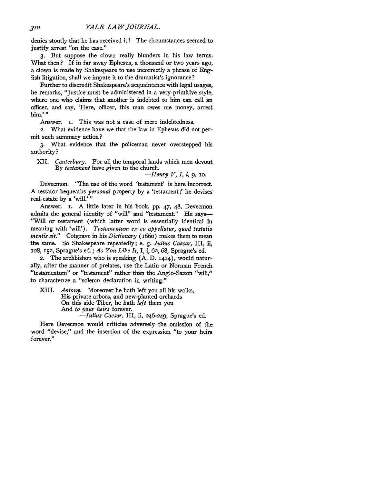denies stoutly that he has received it! The circumstances seemed to justify arrest "on the case."

3. But suppose the clown really blunders in his law terms. What then? If in far away Ephesus, a thousand or two years ago, a clown is made by Shakespeare to use incorrectly a phrase of English litigation, shall we impute it to the dramatist's ignorance?

Further to discredit Shakespeare's acquaintance with legal usages, he remarks, "Justice must be administered in a very-primitive style, where one who claims that another is indebted to him can call an officer, and say, 'Here, officer, this man owes me money, arrest him.'"

Answer. i. This was not a case of mere indebtedness.

2. What evidence have we that the law in Ephesus did not permit such summary action?

3. What evidence that the policeman never overstepped his authority?

XII. *Canterbury.* For all the temporal lands which men devout By *testament* have given to the church.

*-Henry V, , i, 9,* **1o.**

Devecmon. "The use of the word 'testament' is here incorrect. A testator bequeaths *personal* property by a 'testament;' he devises real.estate by a 'will.'"

Answer. **i.** A little later in his book, pp. 47, 48, Devecmon admits the general identity of "will" and "testament." He says-"Will or testament (which latter word is essentially identical in meaning with 'will'). *Testamentum ex eo appellatur, quod testatio mentis sit."* Cotgrave in his *Dictionary* (1660) makes them to mean the same. So Shakespeare repeatedly; e. **g.** *Julius Caesar,* III, ii, 128, **152,** Sprague's ed.; *As You Like It,* I, i, 62, 68, Sprague's ed.

2. The archbishop who is speaking (A. D. 1414), would naturally, after the manner of prelates, use the Latin or Norman French "testamentum" or "testament" rather than the Anglo-Saxon "will," to characterize a "solemn declaration in writing."

XIII. *Antony.* Moreover he hath left you all his walks, His private arbors, and new-planted orchards On this side Tiber, he hath *left* them you And *to your heirs* forever.

*-lulius Caesar,* III, ii, 246-249, Sprague's ed.

Here Devecmon would criticise adversely the omission of the word "devise," and the insertion of the expression "to your heirs forever."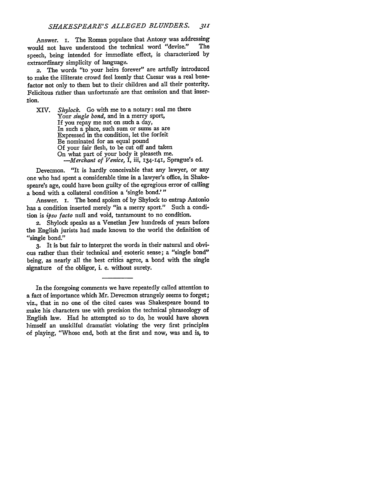Answer. I. The Roman populace that Antony was addressing<br>uld not have understood the technical word "devise." The would not have understood the technical word "devise." speech, being intended for immediate effect, is characterized **by** extraordinary simplicity of language.

2. The words "to your heirs forever" are artfully introduced to make the illiterate crowd feel keenly that Caesar was a real benefactor not only to them but to their children and all their posterity. Felicitous rather than unfortunate are that omission and that insertion.

XIV. *Shylock.* Go with me to a notary: seal me there Your *single bond,* and in a merry sport, If you repay me not on such a day, In such a place, such sum or sums as are Expressed in the condition, let the forfeit Be nominated for an equal pound **Of** your fair flesh, to be cut off and taken On what part of your **body** it pleaseth me. *-Merchant of Venice,* I, iii, **134-141,** Sprague's ed.

Devecmon. "It is hardly conceivable that any lawyer, or any one who had spent a considerable time in a lawyer's office, in Shakespeare's age, could have been guilty of the egregious error of calling a bond with a collateral condition a 'single bond."'

Answer. i. The bond spoken of by Shylock to entrap Antonio has a condition inserted merely "in a merry sport." Such a condition is *ipso facto* null and void, tantamount to no condition.

**2.** Shylock speaks as a Venetian Jew hundreds of years before the English jurists had made known to the world the definition of "single bond."

3. It is but fair to interpret the words in their natural and obvious rather than their technical and esoteric sense; a "single bond" being, as nearly all the best critics agree, a bond with the single signature of the obligor, i. e. without surety.

In the foregoing comments we have repeatedly called attention to a fact of importance which Mr. Devecmon strangely seems to forget; viz., that in no one of the cited cases was Shakespeare bound to make his characters use with precision the technical phraseology of English law. Had he attempted so to do, he would have shown himself an unskilful dramatist violating the very first principles of playing, "Whose end, both at the first and now, was and is, to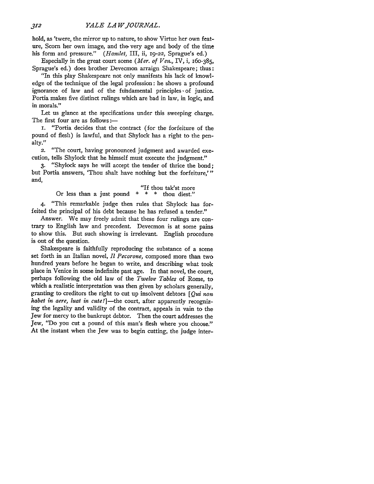hold, as 'twere, the mirror up to nature, to show Virtue her own feature, Scorn her own image, and the very age and body of the time his form and pressure." (Hamlet, III, ii, 19-22, Sprague's ed.)

Especially in the great court scene *(Mer. of Ven.,* IV, i, i6o-385, Sprague's ed.) does brother Devecmon arraign Shakespeare; thus:

"In this play Shakespeare not only manifests his lack of knowledge of the technique of the legal profession: he shows a profound ignorance of law and of the fundamental principles $\cdot$  of justice. Portia makes five distinct rulings which are bad in law, in logic, and in morals."

Let us glance at the specifications under this sweeping charge. The first four are as follows: $-$ 

i. "Portia decides that the contract (for the forfeiture of the pound of flesh) is lawful, and that Shylock has a right to the penalty."

2. "The court, having pronounced judgment and awarded execution, tells Shylock that he himself must execute the judgment."

3. "Shylock says he will accept the tender of thrice the bond; but Portia answers, 'Thou shalt have nothing but the forfeiture,'" and,

## "If thou tak'st more Or less than a just pound **\* \* \*** thou diest."

4. "This remarkable judge then rules that Shylock has forfeited the principal of his debt because he has refused a tender."

Answer. We may freely admit that these four rulings are contrary to English law and precedent. Devecmon is at some pains to show this. But such showing is irrelevant. English procedure is out of the question.

Shakespeare is faithfully reproducing the substance of a scene set forth in an Italian novel, *Il Pecorone,* composed more than two hundred years before he began to write, and describing what took place in Venice in some indefinite past age. In that novel, the court, perhaps following the old law of the *Twelve Tables* of Rome, to which a realistic interpretation was then given by scholars generally, granting to creditors the right to cut up insolvent debtors *[Qui non habet in aere, luat in cute!*]—the court, after apparently recognizing the legality and validity of the contract, appeals in vain to the Jew for mercy to the bankrupt debtor. Then the court addresses the Jew, "Do you cut a pound of this man's flesh where you choose." At the instant when the Jew was to begin cutting, the judge inter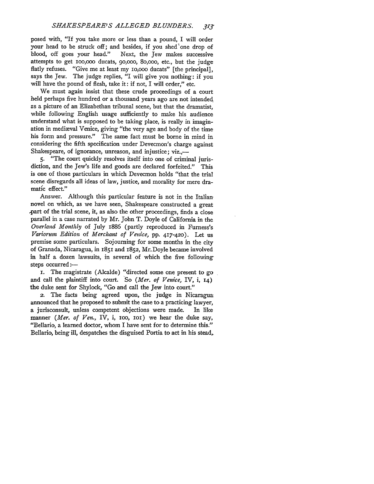posed with, "If you take more or less than a pound, I will order your head to be struck off; and besides, if you shed one drop of blood, off goes your head." Next, the Jew makes successive attempts to get ioo,ooo ducats, 9o,ooo, 8o,ooo, etc., but the judge flatly refuses. "Give me at least my 10,000 ducats" [the principal], says the Jew. The judge replies, "I will give you nothing: if you will have the pound of flesh, take it: if not, I will order," etc.

We must again insist that these crude proceedings of a court held perhaps five hundred or a thousand years ago are not intended as a picture of an Elizabethan tribunal scene, but that the dramatist, while following English usage sufficiently to make his audience understand what is supposed to be taking place, is really in imagination in mediaval Venice, giving "the very age and body of the time his form and pressure." The same fact must be borne in mind in considering the fifth specification under Devecmon's charge against Shakespeare, of ignorance, unreason, and injustice; viz.—

5. "The court quickly resolves itself into one of criminal jurisdiction, and the Jew's life and goods are declared forfeited." This is one of those particulars in which Devecmon holds "that the trial scene disregards all ideas of law, justice, and morality for mere dramatic effect."

Answer. Although this particular feature is not in the Italian novel on which, as we have seen, Shakespeare constructed a great .part of the trial scene, it, as also the other proceedings, finds a close parallel in a case narrated by Mr. John T. Doyle of California in the *Overland Monthly* of July 1886 (partly reproduced in Furness's *Variorum Edition of Merchant of Venice,* pp. 417-420). Let us premise some particulars. Sojourning for some months in the city of Granada, Nicaragua, in 1851 and 1852, Mr. Doyle became involved in half a dozen lawsuits, in several of which the five following steps occurred **--**

I. The magistrate (Alcalde) "directed some one present to go and call the plaintiff into court. So *(Mer. of Venice,* IV, i, **14)** the duke sent for Shylock, "Go and call the Jew into court."

**2.** The facts being agreed upon, the judge in Nicaragua announced that he proposed to submit the case to a practicing lawyer, a jurisconsult, unless competent objections were made. In like manner *(Mer. of Ven.,* IV, i, ioo, **10I)** we hear the duke say, "Bellario, a learned doctor, whom I have sent for to determine this." Bellario, being ill, despatches the disguised Portia to act in his stead,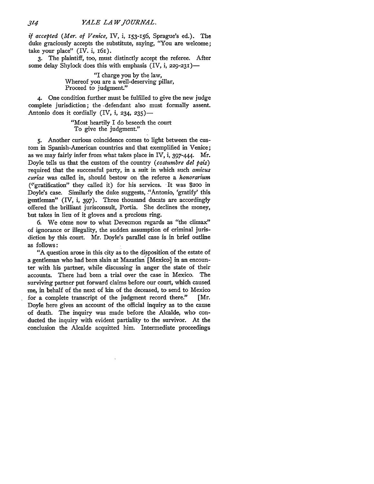*if accepted (Mer. of Venice,* IV, i, 153-156, Sprague's ed.). The duke graciously accepts the substitute, saying, "You are welcome; take your place" (IV. i, 161).

**3.** The plaintiff, too, must distinctly accept the referee. After some delay Shylock does this with emphasis  $(IV, i, 229-231)$ —

> "I charge you **by** the law, Whereof you are a well-deserving pillar, Proceed to judgment."

4. One condition further must be fulfilled to give the new judge complete jurisdiction; the -defendant also must formally assent. Antonio does it cordially (IV, i, 234, 235)-

> "Most heartily I do beseech the court To give the judgment."

**5.** Another curious coincidence comes to light between the custom in Spanish-American countries and that exemplified in Venice; as we may fairly infer from what takes place in IV, i, 397-444. Mr. Doyle tells us that the custom of the country *(costumbre del pais)* required that the successful party, in a suit in which such *amicus curiae* was called in, should bestow on the referee a *honorarium* (-'gratification" they called it) for his services. It was \$20o in Doyle's case. Similarly the duke suggests, "Antonio, 'gratify' this gentleman" (IV, i, 397). Three thousand ducats are accordingly offered the brilliant jurisconsult, Portia. She declines the money, but takes in lieu of it gloves and a precious ring.

6. We come now to what Devecmon regards as "the climax" of ignorance or illegality, the sudden assumption of criminal jurisdiction **by** this court. Mr. Doyle's parallel case is in brief outline as follows:

"A question arose in this city as to the disposition of the estate of a gentleman who had been slain at Mazatlan [Mexico] in an encounter with his partner, while discussing in anger the state of their accounts. There had been a trial over the case in Mexico. The surviving partner put forward claims before our court, which caused ime, in behalf of the next of kin of the deceased, to send to Mexico for a complete transcript of the judgment record there." [Mr. Doyle here gives an account of the official inquiry as to the cause of death. The inquiry was made before the Alcalde, who conducted the inquiry with evident partiality to the survivor. At the conclusion the Alcalde acquitted him. Intermediate proceedings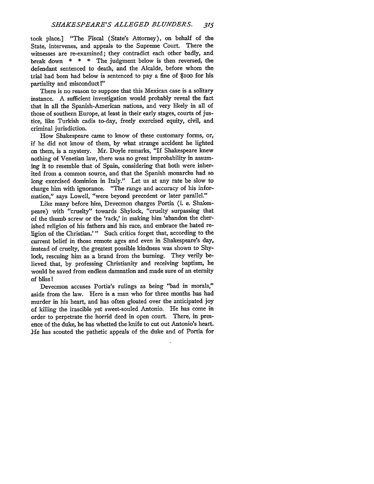took place.] "The Fiscal (State's Attorney), on behalf of the State, intervenes, and appeals to the Supreme Court. There the witnesses are re-examined; they contradict each other badly, and break down  $* * *$  The judgment below is then reversed, the defendant sentenced to death, and the Alcalde, before whom the trial had been had below is sentenced to pay a fine of \$Ioo for his partiality and misconduct !"

There is no reason to suppose that this Mexican case is a solitary instance. A sufficient investigation would probably reveal the fact that in all the Spanish-American nations, and very likely in all of those of southern Europe, at least in their early stages, courts of justice, like Turkish cadis to-day, freely exercised equity, civil, and criminal jurisdiction.

How Shakespeare came to know of these customary forms, or, if he did not know of them, **by** what strange accident he lighted on them, is a mystery. Mr. Doyle remarks, "If Shakespeare knew nothing of Venetian law, there was no great improbability in assuming it to resemble that of Spain, considering that both were inherited from a common source, and that the Spanish monarchs had so long exercised dominion in Italy." Let us at any rate be slow to charge him with ignorance. "The range and accuracy of his information," says Lowell, "were beyond precedent or later parallel."

Like many before him, Devecmon charges Portia (i. e. Shakespeare) with "cruelty" towards Shylock, "cruelty surpassing that of the thumb screw or the 'rack,' in making him 'abandon the cherished religion of his fathers and his race, and embrace the hated religion of the Christian.'" Such critics forget that, according to the current belief in those remote ages and even in Shakespeare's day, instead of cruelty, the greatest possible kindness was shown to Shylock, rescuing him as a brand from the burning. They verily believed that, **by** professing Christianity and receiving baptism, he would be saved from endless damnation and made sure of an eternity of bliss!

Devecmon accuses Portia's rulings as being "bad in morals," aside from the law. Here is a man who for three months has had murder in his heart, and has often gloated over the anticipated **joy** of killing the irascible yet sweet-souled Antonio. He has come in order to perpetrate the horrid deed in open court. There, in presence of the duke, he has whetted the knife to cut out Antonio's heart. He has scouted the pathetic appeals of the duke and of Portia for